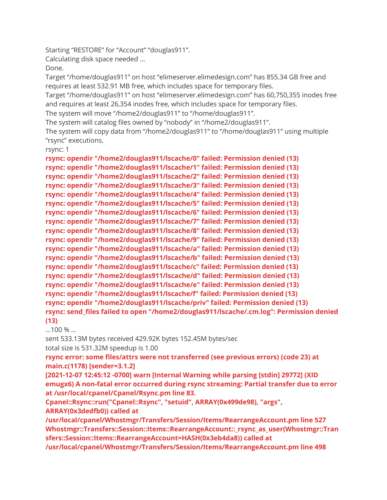Starting "RESTORE" for "Account" "douglas911".

Calculating disk space needed …

Done.

Target "/home/douglas911" on host "elimeserver.elimedesign.com" has 855.34 GB free and requires at least 532.91 MB free, which includes space for temporary files.

Target "/home/douglas911" on host "elimeserver.elimedesign.com" has 60,750,355 inodes free and requires at least 26,354 inodes free, which includes space for temporary files.

The system will move "/home2/douglas911" to "/home/douglas911".

The system will catalog files owned by "nobody" in "/home2/douglas911".

The system will copy data from "/home2/douglas911" to "/home/douglas911" using multiple "rsync" executions.

rsync: 1

**rsync: opendir "/home2/douglas911/lscache/0" failed: Permission denied (13) rsync: opendir "/home2/douglas911/lscache/1" failed: Permission denied (13) rsync: opendir "/home2/douglas911/lscache/2" failed: Permission denied (13) rsync: opendir "/home2/douglas911/lscache/3" failed: Permission denied (13) rsync: opendir "/home2/douglas911/lscache/4" failed: Permission denied (13) rsync: opendir "/home2/douglas911/lscache/5" failed: Permission denied (13) rsync: opendir "/home2/douglas911/lscache/6" failed: Permission denied (13) rsync: opendir "/home2/douglas911/lscache/7" failed: Permission denied (13) rsync: opendir "/home2/douglas911/lscache/8" failed: Permission denied (13) rsync: opendir "/home2/douglas911/lscache/9" failed: Permission denied (13) rsync: opendir "/home2/douglas911/lscache/a" failed: Permission denied (13) rsync: opendir "/home2/douglas911/lscache/b" failed: Permission denied (13) rsync: opendir "/home2/douglas911/lscache/c" failed: Permission denied (13) rsync: opendir "/home2/douglas911/lscache/d" failed: Permission denied (13) rsync: opendir "/home2/douglas911/lscache/e" failed: Permission denied (13) rsync: opendir "/home2/douglas911/lscache/f" failed: Permission denied (13) rsync: opendir "/home2/douglas911/lscache/priv" failed: Permission denied (13) rsync: send\_files failed to open "/home2/douglas911/lscache/.cm.log": Permission denied (13)**

…100 % …

sent 533.13M bytes received 429.92K bytes 152.45M bytes/sec total size is 531.32M speedup is 1.00

**rsync error: some files/attrs were not transferred (see previous errors) (code 23) at main.c(1178) [sender=3.1.2]**

**[2021-12-07 12:45:12 -0700] warn [Internal Warning while parsing [stdin] 29772] (XID emugx6) A non-fatal error occurred during rsync streaming: Partial transfer due to error at /usr/local/cpanel/Cpanel/Rsync.pm line 83.**

**Cpanel::Rsync::run("Cpanel::Rsync", "setuid", ARRAY(0x499de98), "args", ARRAY(0x3dedfb0)) called at** 

**/usr/local/cpanel/Whostmgr/Transfers/Session/Items/RearrangeAccount.pm line 527 Whostmgr::Transfers::Session::Items::RearrangeAccount::\_rsync\_as\_user(Whostmgr::Tran sfers::Session::Items::RearrangeAccount=HASH(0x3eb4da8)) called at** 

**/usr/local/cpanel/Whostmgr/Transfers/Session/Items/RearrangeAccount.pm line 498**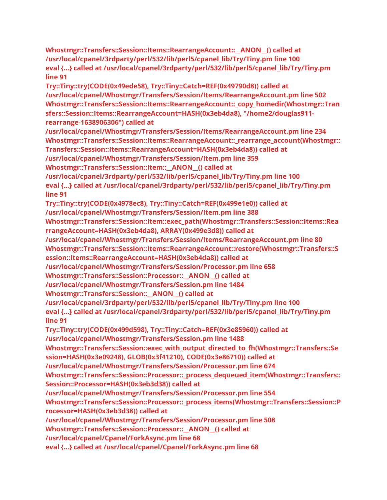**Whostmgr::Transfers::Session::Items::RearrangeAccount::\_\_ANON\_\_() called at /usr/local/cpanel/3rdparty/perl/532/lib/perl5/cpanel\_lib/Try/Tiny.pm line 100 eval {...} called at /usr/local/cpanel/3rdparty/perl/532/lib/perl5/cpanel\_lib/Try/Tiny.pm line 91**

**Try::Tiny::try(CODE(0x49ede58), Try::Tiny::Catch=REF(0x49790d8)) called at /usr/local/cpanel/Whostmgr/Transfers/Session/Items/RearrangeAccount.pm line 502 Whostmgr::Transfers::Session::Items::RearrangeAccount::\_copy\_homedir(Whostmgr::Tran sfers::Session::Items::RearrangeAccount=HASH(0x3eb4da8), "/home2/douglas911 rearrange-1638906306") called at** 

**/usr/local/cpanel/Whostmgr/Transfers/Session/Items/RearrangeAccount.pm line 234 Whostmgr::Transfers::Session::Items::RearrangeAccount::\_rearrange\_account(Whostmgr:: Transfers::Session::Items::RearrangeAccount=HASH(0x3eb4da8)) called at** 

**/usr/local/cpanel/Whostmgr/Transfers/Session/Item.pm line 359**

**Whostmgr::Transfers::Session::Item::\_\_ANON\_\_() called at** 

**/usr/local/cpanel/3rdparty/perl/532/lib/perl5/cpanel\_lib/Try/Tiny.pm line 100 eval {...} called at /usr/local/cpanel/3rdparty/perl/532/lib/perl5/cpanel\_lib/Try/Tiny.pm line 91**

**Try::Tiny::try(CODE(0x4978ec8), Try::Tiny::Catch=REF(0x499e1e0)) called at /usr/local/cpanel/Whostmgr/Transfers/Session/Item.pm line 388**

**Whostmgr::Transfers::Session::Item::exec\_path(Whostmgr::Transfers::Session::Items::Rea rrangeAccount=HASH(0x3eb4da8), ARRAY(0x499e3d8)) called at** 

**/usr/local/cpanel/Whostmgr/Transfers/Session/Items/RearrangeAccount.pm line 80 Whostmgr::Transfers::Session::Items::RearrangeAccount::restore(Whostmgr::Transfers::S ession::Items::RearrangeAccount=HASH(0x3eb4da8)) called at** 

**/usr/local/cpanel/Whostmgr/Transfers/Session/Processor.pm line 658**

**Whostmgr::Transfers::Session::Processor::\_\_ANON\_\_() called at** 

**/usr/local/cpanel/Whostmgr/Transfers/Session.pm line 1484**

**Whostmgr::Transfers::Session::\_\_ANON\_\_() called at** 

**/usr/local/cpanel/3rdparty/perl/532/lib/perl5/cpanel\_lib/Try/Tiny.pm line 100 eval {...} called at /usr/local/cpanel/3rdparty/perl/532/lib/perl5/cpanel\_lib/Try/Tiny.pm line 91**

**Try::Tiny::try(CODE(0x499d598), Try::Tiny::Catch=REF(0x3e85960)) called at /usr/local/cpanel/Whostmgr/Transfers/Session.pm line 1488**

**Whostmgr::Transfers::Session::exec\_with\_output\_directed\_to\_fh(Whostmgr::Transfers::Se ssion=HASH(0x3e09248), GLOB(0x3f41210), CODE(0x3e86710)) called at** 

**/usr/local/cpanel/Whostmgr/Transfers/Session/Processor.pm line 674**

**Whostmgr::Transfers::Session::Processor::\_process\_dequeued\_item(Whostmgr::Transfers:: Session::Processor=HASH(0x3eb3d38)) called at** 

**/usr/local/cpanel/Whostmgr/Transfers/Session/Processor.pm line 554**

**Whostmgr::Transfers::Session::Processor::\_process\_items(Whostmgr::Transfers::Session::P rocessor=HASH(0x3eb3d38)) called at** 

**/usr/local/cpanel/Whostmgr/Transfers/Session/Processor.pm line 508**

**Whostmgr::Transfers::Session::Processor::\_\_ANON\_\_() called at** 

**/usr/local/cpanel/Cpanel/ForkAsync.pm line 68**

**eval {...} called at /usr/local/cpanel/Cpanel/ForkAsync.pm line 68**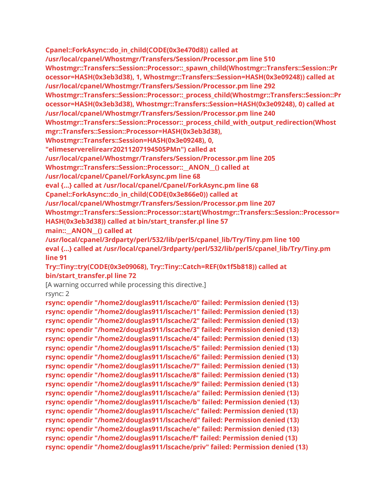**Cpanel::ForkAsync::do\_in\_child(CODE(0x3e470d8)) called at /usr/local/cpanel/Whostmgr/Transfers/Session/Processor.pm line 510 Whostmgr::Transfers::Session::Processor::\_spawn\_child(Whostmgr::Transfers::Session::Pr ocessor=HASH(0x3eb3d38), 1, Whostmgr::Transfers::Session=HASH(0x3e09248)) called at /usr/local/cpanel/Whostmgr/Transfers/Session/Processor.pm line 292 Whostmgr::Transfers::Session::Processor::\_process\_child(Whostmgr::Transfers::Session::Pr ocessor=HASH(0x3eb3d38), Whostmgr::Transfers::Session=HASH(0x3e09248), 0) called at /usr/local/cpanel/Whostmgr/Transfers/Session/Processor.pm line 240 Whostmgr::Transfers::Session::Processor::\_process\_child\_with\_output\_redirection(Whost mgr::Transfers::Session::Processor=HASH(0x3eb3d38), Whostmgr::Transfers::Session=HASH(0x3e09248), 0, "elimeserverelirearr20211207194505PMn") called at /usr/local/cpanel/Whostmgr/Transfers/Session/Processor.pm line 205 Whostmgr::Transfers::Session::Processor::\_\_ANON\_\_() called at /usr/local/cpanel/Cpanel/ForkAsync.pm line 68 eval {...} called at /usr/local/cpanel/Cpanel/ForkAsync.pm line 68 Cpanel::ForkAsync::do\_in\_child(CODE(0x3e866e0)) called at /usr/local/cpanel/Whostmgr/Transfers/Session/Processor.pm line 207**

**Whostmgr::Transfers::Session::Processor::start(Whostmgr::Transfers::Session::Processor= HASH(0x3eb3d38)) called at bin/start\_transfer.pl line 57**

**main::** ANON () called at

**/usr/local/cpanel/3rdparty/perl/532/lib/perl5/cpanel\_lib/Try/Tiny.pm line 100 eval {...} called at /usr/local/cpanel/3rdparty/perl/532/lib/perl5/cpanel\_lib/Try/Tiny.pm line 91**

**Try::Tiny::try(CODE(0x3e09068), Try::Tiny::Catch=REF(0x1f5b818)) called at bin/start\_transfer.pl line 72**

[A warning occurred while processing this directive.]

rsync: 2

**rsync: opendir "/home2/douglas911/lscache/0" failed: Permission denied (13) rsync: opendir "/home2/douglas911/lscache/1" failed: Permission denied (13) rsync: opendir "/home2/douglas911/lscache/2" failed: Permission denied (13) rsync: opendir "/home2/douglas911/lscache/3" failed: Permission denied (13) rsync: opendir "/home2/douglas911/lscache/4" failed: Permission denied (13) rsync: opendir "/home2/douglas911/lscache/5" failed: Permission denied (13) rsync: opendir "/home2/douglas911/lscache/6" failed: Permission denied (13) rsync: opendir "/home2/douglas911/lscache/7" failed: Permission denied (13) rsync: opendir "/home2/douglas911/lscache/8" failed: Permission denied (13) rsync: opendir "/home2/douglas911/lscache/9" failed: Permission denied (13) rsync: opendir "/home2/douglas911/lscache/a" failed: Permission denied (13) rsync: opendir "/home2/douglas911/lscache/b" failed: Permission denied (13) rsync: opendir "/home2/douglas911/lscache/c" failed: Permission denied (13) rsync: opendir "/home2/douglas911/lscache/d" failed: Permission denied (13) rsync: opendir "/home2/douglas911/lscache/e" failed: Permission denied (13) rsync: opendir "/home2/douglas911/lscache/f" failed: Permission denied (13) rsync: opendir "/home2/douglas911/lscache/priv" failed: Permission denied (13)**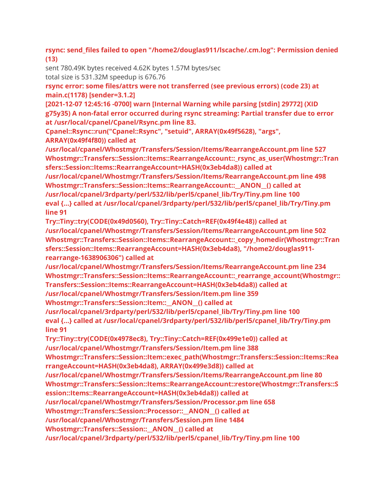**rsync: send\_files failed to open "/home2/douglas911/lscache/.cm.log": Permission denied (13)**

sent 780.49K bytes received 4.62K bytes 1.57M bytes/sec total size is 531.32M speedup is 676.76

**rsync error: some files/attrs were not transferred (see previous errors) (code 23) at main.c(1178) [sender=3.1.2]**

**[2021-12-07 12:45:16 -0700] warn [Internal Warning while parsing [stdin] 29772] (XID g75y35) A non-fatal error occurred during rsync streaming: Partial transfer due to error at /usr/local/cpanel/Cpanel/Rsync.pm line 83.**

**Cpanel::Rsync::run("Cpanel::Rsync", "setuid", ARRAY(0x49f5628), "args", ARRAY(0x49f4f80)) called at** 

**/usr/local/cpanel/Whostmgr/Transfers/Session/Items/RearrangeAccount.pm line 527 Whostmgr::Transfers::Session::Items::RearrangeAccount::\_rsync\_as\_user(Whostmgr::Tran sfers::Session::Items::RearrangeAccount=HASH(0x3eb4da8)) called at** 

**/usr/local/cpanel/Whostmgr/Transfers/Session/Items/RearrangeAccount.pm line 498 Whostmgr::Transfers::Session::Items::RearrangeAccount::\_\_ANON\_\_() called at /usr/local/cpanel/3rdparty/perl/532/lib/perl5/cpanel\_lib/Try/Tiny.pm line 100 eval {...} called at /usr/local/cpanel/3rdparty/perl/532/lib/perl5/cpanel\_lib/Try/Tiny.pm line 91**

**Try::Tiny::try(CODE(0x49d0560), Try::Tiny::Catch=REF(0x49f4e48)) called at /usr/local/cpanel/Whostmgr/Transfers/Session/Items/RearrangeAccount.pm line 502 Whostmgr::Transfers::Session::Items::RearrangeAccount::\_copy\_homedir(Whostmgr::Tran sfers::Session::Items::RearrangeAccount=HASH(0x3eb4da8), "/home2/douglas911 rearrange-1638906306") called at** 

**/usr/local/cpanel/Whostmgr/Transfers/Session/Items/RearrangeAccount.pm line 234 Whostmgr::Transfers::Session::Items::RearrangeAccount::\_rearrange\_account(Whostmgr:: Transfers::Session::Items::RearrangeAccount=HASH(0x3eb4da8)) called at** 

**/usr/local/cpanel/Whostmgr/Transfers/Session/Item.pm line 359**

**Whostmgr::Transfers::Session::Item::\_\_ANON\_\_() called at** 

**/usr/local/cpanel/3rdparty/perl/532/lib/perl5/cpanel\_lib/Try/Tiny.pm line 100 eval {...} called at /usr/local/cpanel/3rdparty/perl/532/lib/perl5/cpanel\_lib/Try/Tiny.pm line 91**

**Try::Tiny::try(CODE(0x4978ec8), Try::Tiny::Catch=REF(0x499e1e0)) called at /usr/local/cpanel/Whostmgr/Transfers/Session/Item.pm line 388**

**Whostmgr::Transfers::Session::Item::exec\_path(Whostmgr::Transfers::Session::Items::Rea rrangeAccount=HASH(0x3eb4da8), ARRAY(0x499e3d8)) called at** 

**/usr/local/cpanel/Whostmgr/Transfers/Session/Items/RearrangeAccount.pm line 80**

**Whostmgr::Transfers::Session::Items::RearrangeAccount::restore(Whostmgr::Transfers::S ession::Items::RearrangeAccount=HASH(0x3eb4da8)) called at** 

**/usr/local/cpanel/Whostmgr/Transfers/Session/Processor.pm line 658**

**Whostmgr::Transfers::Session::Processor::\_\_ANON\_\_() called at** 

**/usr/local/cpanel/Whostmgr/Transfers/Session.pm line 1484**

**Whostmgr::Transfers::Session::\_\_ANON\_\_() called at** 

**/usr/local/cpanel/3rdparty/perl/532/lib/perl5/cpanel\_lib/Try/Tiny.pm line 100**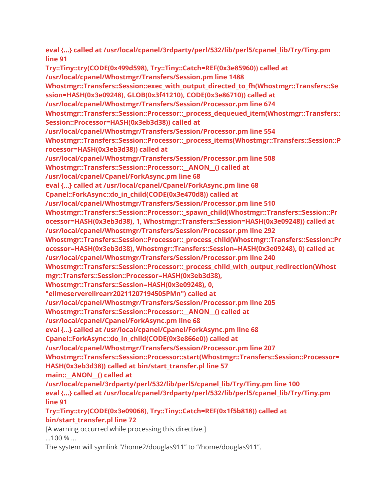**eval {...} called at /usr/local/cpanel/3rdparty/perl/532/lib/perl5/cpanel\_lib/Try/Tiny.pm line 91 Try::Tiny::try(CODE(0x499d598), Try::Tiny::Catch=REF(0x3e85960)) called at /usr/local/cpanel/Whostmgr/Transfers/Session.pm line 1488 Whostmgr::Transfers::Session::exec\_with\_output\_directed\_to\_fh(Whostmgr::Transfers::Se ssion=HASH(0x3e09248), GLOB(0x3f41210), CODE(0x3e86710)) called at /usr/local/cpanel/Whostmgr/Transfers/Session/Processor.pm line 674 Whostmgr::Transfers::Session::Processor::\_process\_dequeued\_item(Whostmgr::Transfers:: Session::Processor=HASH(0x3eb3d38)) called at /usr/local/cpanel/Whostmgr/Transfers/Session/Processor.pm line 554 Whostmgr::Transfers::Session::Processor::\_process\_items(Whostmgr::Transfers::Session::P rocessor=HASH(0x3eb3d38)) called at /usr/local/cpanel/Whostmgr/Transfers/Session/Processor.pm line 508 Whostmgr::Transfers::Session::Processor::\_\_ANON\_\_() called at /usr/local/cpanel/Cpanel/ForkAsync.pm line 68 eval {...} called at /usr/local/cpanel/Cpanel/ForkAsync.pm line 68 Cpanel::ForkAsync::do\_in\_child(CODE(0x3e470d8)) called at /usr/local/cpanel/Whostmgr/Transfers/Session/Processor.pm line 510 Whostmgr::Transfers::Session::Processor::\_spawn\_child(Whostmgr::Transfers::Session::Pr ocessor=HASH(0x3eb3d38), 1, Whostmgr::Transfers::Session=HASH(0x3e09248)) called at /usr/local/cpanel/Whostmgr/Transfers/Session/Processor.pm line 292 Whostmgr::Transfers::Session::Processor::\_process\_child(Whostmgr::Transfers::Session::Pr ocessor=HASH(0x3eb3d38), Whostmgr::Transfers::Session=HASH(0x3e09248), 0) called at /usr/local/cpanel/Whostmgr/Transfers/Session/Processor.pm line 240 Whostmgr::Transfers::Session::Processor::\_process\_child\_with\_output\_redirection(Whost mgr::Transfers::Session::Processor=HASH(0x3eb3d38), Whostmgr::Transfers::Session=HASH(0x3e09248), 0, "elimeserverelirearr20211207194505PMn") called at /usr/local/cpanel/Whostmgr/Transfers/Session/Processor.pm line 205 Whostmgr::Transfers::Session::Processor::\_\_ANON\_\_() called at /usr/local/cpanel/Cpanel/ForkAsync.pm line 68 eval {...} called at /usr/local/cpanel/Cpanel/ForkAsync.pm line 68 Cpanel::ForkAsync::do\_in\_child(CODE(0x3e866e0)) called at /usr/local/cpanel/Whostmgr/Transfers/Session/Processor.pm line 207 Whostmgr::Transfers::Session::Processor::start(Whostmgr::Transfers::Session::Processor= HASH(0x3eb3d38)) called at bin/start\_transfer.pl line 57 main::** ANON () called at **/usr/local/cpanel/3rdparty/perl/532/lib/perl5/cpanel\_lib/Try/Tiny.pm line 100** eval {...} called at /usr/local/cpanel/3rdparty/perl/532/lib/perl5/cpanel\_lib/Try/Tiny.pm **line 91 Try::Tiny::try(CODE(0x3e09068), Try::Tiny::Catch=REF(0x1f5b818)) called at bin/start\_transfer.pl line 72** [A warning occurred while processing this directive.] …100 % …

The system will symlink "/home2/douglas911" to "/home/douglas911".